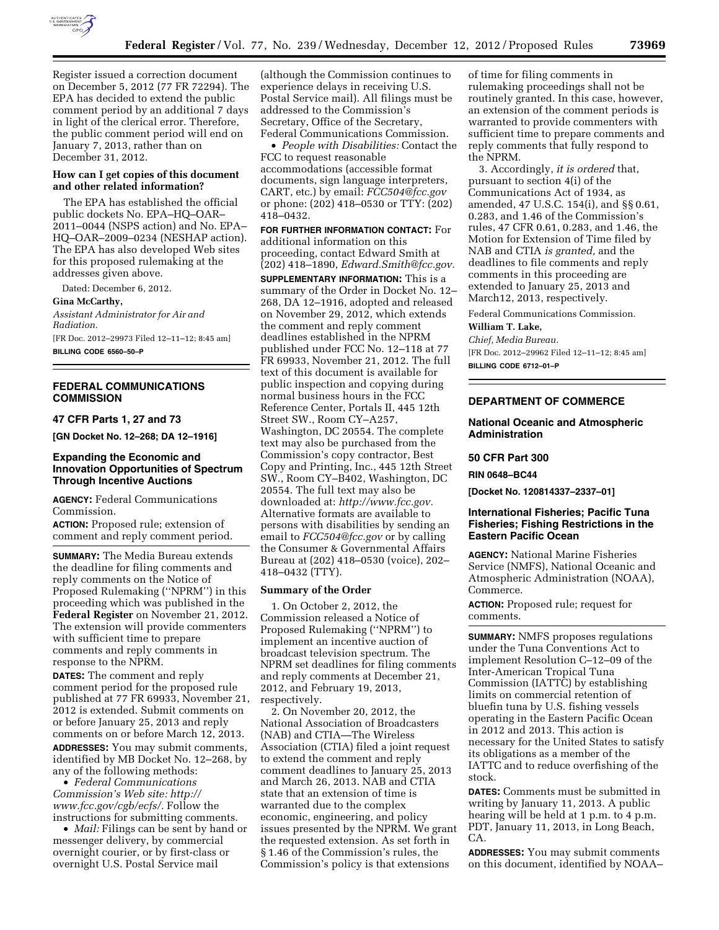

Register issued a correction document on December 5, 2012 (77 FR 72294). The EPA has decided to extend the public comment period by an additional 7 days in light of the clerical error. Therefore, the public comment period will end on January 7, 2013, rather than on December 31, 2012.

## **How can I get copies of this document and other related information?**

The EPA has established the official public dockets No. EPA–HQ–OAR– 2011–0044 (NSPS action) and No. EPA– HQ–OAR–2009–0234 (NESHAP action). The EPA has also developed Web sites for this proposed rulemaking at the addresses given above.

Dated: December 6, 2012.

**Gina McCarthy,** 

*Assistant Administrator for Air and Radiation.*  [FR Doc. 2012–29973 Filed 12–11–12; 8:45 am]

**BILLING CODE 6560–50–P** 

# **FEDERAL COMMUNICATIONS COMMISSION**

**47 CFR Parts 1, 27 and 73** 

**[GN Docket No. 12–268; DA 12–1916]** 

## **Expanding the Economic and Innovation Opportunities of Spectrum Through Incentive Auctions**

**AGENCY:** Federal Communications Commission.

**ACTION:** Proposed rule; extension of comment and reply comment period.

**SUMMARY:** The Media Bureau extends the deadline for filing comments and reply comments on the Notice of Proposed Rulemaking (''NPRM'') in this proceeding which was published in the **Federal Register** on November 21, 2012. The extension will provide commenters with sufficient time to prepare comments and reply comments in response to the NPRM.

**DATES:** The comment and reply comment period for the proposed rule published at 77 FR 69933, November 21, 2012 is extended. Submit comments on or before January 25, 2013 and reply comments on or before March 12, 2013. **ADDRESSES:** You may submit comments, identified by MB Docket No. 12–268, by any of the following methods:

• *Federal Communications Commission's Web site: [http://](http://www.fcc.gov/cgb/ecfs/) [www.fcc.gov/cgb/ecfs/.](http://www.fcc.gov/cgb/ecfs/)* Follow the instructions for submitting comments.

• *Mail:* Filings can be sent by hand or messenger delivery, by commercial overnight courier, or by first-class or overnight U.S. Postal Service mail

(although the Commission continues to experience delays in receiving U.S. Postal Service mail). All filings must be addressed to the Commission's Secretary, Office of the Secretary, Federal Communications Commission.

• *People with Disabilities:* Contact the FCC to request reasonable accommodations (accessible format documents, sign language interpreters, CART, etc.) by email: *[FCC504@fcc.gov](mailto:FCC504@fcc.gov)*  or phone: (202) 418–0530 or TTY: (202) 418–0432.

**FOR FURTHER INFORMATION CONTACT:** For additional information on this proceeding, contact Edward Smith at (202) 418–1890, *[Edward.Smith@fcc.gov.](mailto:Edward.Smith@fcc.gov)* 

**SUPPLEMENTARY INFORMATION:** This is a summary of the Order in Docket No. 12– 268, DA 12–1916, adopted and released on November 29, 2012, which extends the comment and reply comment deadlines established in the NPRM published under FCC No. 12–118 at 77 FR 69933, November 21, 2012. The full text of this document is available for public inspection and copying during normal business hours in the FCC Reference Center, Portals II, 445 12th Street SW., Room CY–A257, Washington, DC 20554. The complete text may also be purchased from the Commission's copy contractor, Best Copy and Printing, Inc., 445 12th Street SW., Room CY–B402, Washington, DC 20554. The full text may also be downloaded at: *[http://www.fcc.gov.](http://www.fcc.gov)*  Alternative formats are available to persons with disabilities by sending an email to *[FCC504@fcc.gov](mailto:FCC504@fcc.gov)* or by calling the Consumer & Governmental Affairs Bureau at (202) 418–0530 (voice), 202– 418–0432 (TTY).

## **Summary of the Order**

1. On October 2, 2012, the Commission released a Notice of Proposed Rulemaking (''NPRM'') to implement an incentive auction of broadcast television spectrum. The NPRM set deadlines for filing comments and reply comments at December 21, 2012, and February 19, 2013, respectively.

2. On November 20, 2012, the National Association of Broadcasters (NAB) and CTIA—The Wireless Association (CTIA) filed a joint request to extend the comment and reply comment deadlines to January 25, 2013 and March 26, 2013. NAB and CTIA state that an extension of time is warranted due to the complex economic, engineering, and policy issues presented by the NPRM. We grant the requested extension. As set forth in § 1.46 of the Commission's rules, the Commission's policy is that extensions

of time for filing comments in rulemaking proceedings shall not be routinely granted. In this case, however, an extension of the comment periods is warranted to provide commenters with sufficient time to prepare comments and reply comments that fully respond to the NPRM.

3. Accordingly, *it is ordered* that, pursuant to section 4(i) of the Communications Act of 1934, as amended, 47 U.S.C. 154(i), and §§ 0.61, 0.283, and 1.46 of the Commission's rules, 47 CFR 0.61, 0.283, and 1.46, the Motion for Extension of Time filed by NAB and CTIA *is granted,* and the deadlines to file comments and reply comments in this proceeding are extended to January 25, 2013 and March12, 2013, respectively.

Federal Communications Commission.

**William T. Lake,** 

*Chief, Media Bureau.* 

[FR Doc. 2012–29962 Filed 12–11–12; 8:45 am] **BILLING CODE 6712–01–P** 

# **DEPARTMENT OF COMMERCE**

**National Oceanic and Atmospheric Administration** 

## **50 CFR Part 300**

**RIN 0648–BC44** 

**[Docket No. 120814337–2337–01]** 

## **International Fisheries; Pacific Tuna Fisheries; Fishing Restrictions in the Eastern Pacific Ocean**

**AGENCY:** National Marine Fisheries Service (NMFS), National Oceanic and Atmospheric Administration (NOAA), Commerce.

**ACTION:** Proposed rule; request for comments.

**SUMMARY:** NMFS proposes regulations under the Tuna Conventions Act to implement Resolution C–12–09 of the Inter-American Tropical Tuna Commission (IATTC) by establishing limits on commercial retention of bluefin tuna by U.S. fishing vessels operating in the Eastern Pacific Ocean in 2012 and 2013. This action is necessary for the United States to satisfy its obligations as a member of the IATTC and to reduce overfishing of the stock.

**DATES:** Comments must be submitted in writing by January 11, 2013. A public hearing will be held at 1 p.m. to 4 p.m. PDT, January 11, 2013, in Long Beach, CA.

**ADDRESSES:** You may submit comments on this document, identified by NOAA–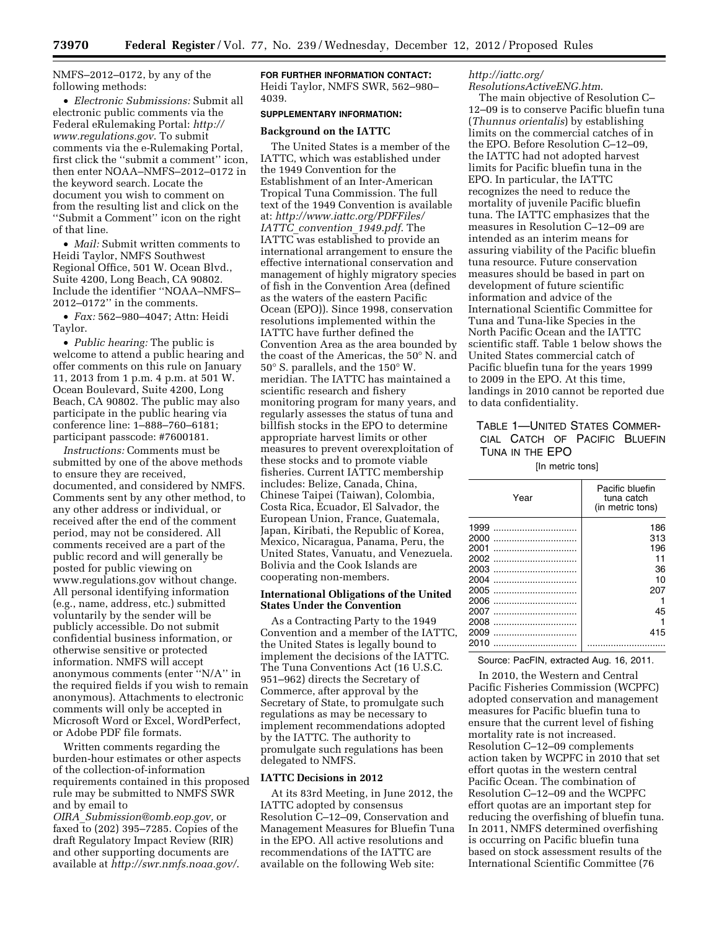NMFS–2012–0172, by any of the following methods:

• *Electronic Submissions:* Submit all electronic public comments via the Federal eRulemaking Portal: *[http://](http://www.regulations.gov)  [www.regulations.gov](http://www.regulations.gov)*. To submit comments via the e-Rulemaking Portal, first click the ''submit a comment'' icon, then enter NOAA–NMFS–2012–0172 in the keyword search. Locate the document you wish to comment on from the resulting list and click on the ''Submit a Comment'' icon on the right of that line.

• *Mail:* Submit written comments to Heidi Taylor, NMFS Southwest Regional Office, 501 W. Ocean Blvd., Suite 4200, Long Beach, CA 90802. Include the identifier ''NOAA–NMFS– 2012–0172'' in the comments.

• *Fax:* 562–980–4047; Attn: Heidi Taylor.

• *Public hearing:* The public is welcome to attend a public hearing and offer comments on this rule on January 11, 2013 from 1 p.m. 4 p.m. at 501 W. Ocean Boulevard, Suite 4200, Long Beach, CA 90802. The public may also participate in the public hearing via conference line: 1–888–760–6181; participant passcode: #7600181.

*Instructions:* Comments must be submitted by one of the above methods to ensure they are received, documented, and considered by NMFS. Comments sent by any other method, to any other address or individual, or received after the end of the comment period, may not be considered. All comments received are a part of the public record and will generally be posted for public viewing on [www.regulations.gov](http://www.regulations.gov) without change. All personal identifying information (e.g., name, address, etc.) submitted voluntarily by the sender will be publicly accessible. Do not submit confidential business information, or otherwise sensitive or protected information. NMFS will accept anonymous comments (enter ''N/A'' in the required fields if you wish to remain anonymous). Attachments to electronic comments will only be accepted in Microsoft Word or Excel, WordPerfect, or Adobe PDF file formats.

Written comments regarding the burden-hour estimates or other aspects of the collection-of-information requirements contained in this proposed rule may be submitted to NMFS SWR and by email to

*OIRA*\_*[Submission@omb.eop.gov,](mailto:OIRA_Submission@omb.eop.gov)* or faxed to (202) 395–7285. Copies of the draft Regulatory Impact Review (RIR) and other supporting documents are available at *<http://swr.nmfs.noaa.gov/>*. **FOR FURTHER INFORMATION CONTACT:**  Heidi Taylor, NMFS SWR, 562–980– 4039.

## **SUPPLEMENTARY INFORMATION:**

### **Background on the IATTC**

The United States is a member of the IATTC, which was established under the 1949 Convention for the Establishment of an Inter-American Tropical Tuna Commission. The full text of the 1949 Convention is available at: *[http://www.iattc.org/PDFFiles/](http://www.iattc.org/PDFFiles/IATTC_convention_1949.pdf)  IATTC*\_*[convention](http://www.iattc.org/PDFFiles/IATTC_convention_1949.pdf)*\_*1949.pdf*. The IATTC was established to provide an international arrangement to ensure the effective international conservation and management of highly migratory species of fish in the Convention Area (defined as the waters of the eastern Pacific Ocean (EPO)). Since 1998, conservation resolutions implemented within the IATTC have further defined the Convention Area as the area bounded by the coast of the Americas, the 50° N. and 50° S. parallels, and the 150° W. meridian. The IATTC has maintained a scientific research and fishery monitoring program for many years, and regularly assesses the status of tuna and billfish stocks in the EPO to determine appropriate harvest limits or other measures to prevent overexploitation of these stocks and to promote viable fisheries. Current IATTC membership includes: Belize, Canada, China, Chinese Taipei (Taiwan), Colombia, Costa Rica, Ecuador, El Salvador, the European Union, France, Guatemala, Japan, Kiribati, the Republic of Korea, Mexico, Nicaragua, Panama, Peru, the United States, Vanuatu, and Venezuela. Bolivia and the Cook Islands are cooperating non-members.

## **International Obligations of the United States Under the Convention**

As a Contracting Party to the 1949 Convention and a member of the IATTC, the United States is legally bound to implement the decisions of the IATTC. The Tuna Conventions Act (16 U.S.C. 951–962) directs the Secretary of Commerce, after approval by the Secretary of State, to promulgate such regulations as may be necessary to implement recommendations adopted by the IATTC. The authority to promulgate such regulations has been delegated to NMFS.

## **IATTC Decisions in 2012**

At its 83rd Meeting, in June 2012, the IATTC adopted by consensus Resolution C–12–09, Conservation and Management Measures for Bluefin Tuna in the EPO. All active resolutions and recommendations of the IATTC are available on the following Web site:

*[http://iattc.org/](http://iattc.org/ResolutionsActiveENG.htm)  [ResolutionsActiveENG.htm](http://iattc.org/ResolutionsActiveENG.htm)*.

The main objective of Resolution C– 12–09 is to conserve Pacific bluefin tuna (*Thunnus orientalis*) by establishing limits on the commercial catches of in the EPO. Before Resolution C–12–09, the IATTC had not adopted harvest limits for Pacific bluefin tuna in the EPO. In particular, the IATTC recognizes the need to reduce the mortality of juvenile Pacific bluefin tuna. The IATTC emphasizes that the measures in Resolution C–12–09 are intended as an interim means for assuring viability of the Pacific bluefin tuna resource. Future conservation measures should be based in part on development of future scientific information and advice of the International Scientific Committee for Tuna and Tuna-like Species in the North Pacific Ocean and the IATTC scientific staff. Table 1 below shows the United States commercial catch of Pacific bluefin tuna for the years 1999 to 2009 in the EPO. At this time, landings in 2010 cannot be reported due to data confidentiality.

# TABLE 1—UNITED STATES COMMER-CIAL CATCH OF PACIFIC BLUEFIN TUNA IN THE EPO

#### [In metric tons]

| Year | Pacific bluefin<br>tuna catch<br>(in metric tons) |
|------|---------------------------------------------------|
| 1999 | 186                                               |
| 2000 | 313                                               |
| 2001 | 196                                               |
| 2002 | 11                                                |
| 2003 | 36                                                |
| 2004 | 10                                                |
| 2005 | 207                                               |
| 2006 |                                                   |
| 2007 | 45                                                |
| 2008 |                                                   |
| 2009 | 415                                               |
| 2010 |                                                   |

Source: PacFIN, extracted Aug. 16, 2011.

In 2010, the Western and Central Pacific Fisheries Commission (WCPFC) adopted conservation and management measures for Pacific bluefin tuna to ensure that the current level of fishing mortality rate is not increased. Resolution C–12–09 complements action taken by WCPFC in 2010 that set effort quotas in the western central Pacific Ocean. The combination of Resolution C–12–09 and the WCPFC effort quotas are an important step for reducing the overfishing of bluefin tuna. In 2011, NMFS determined overfishing is occurring on Pacific bluefin tuna based on stock assessment results of the International Scientific Committee (76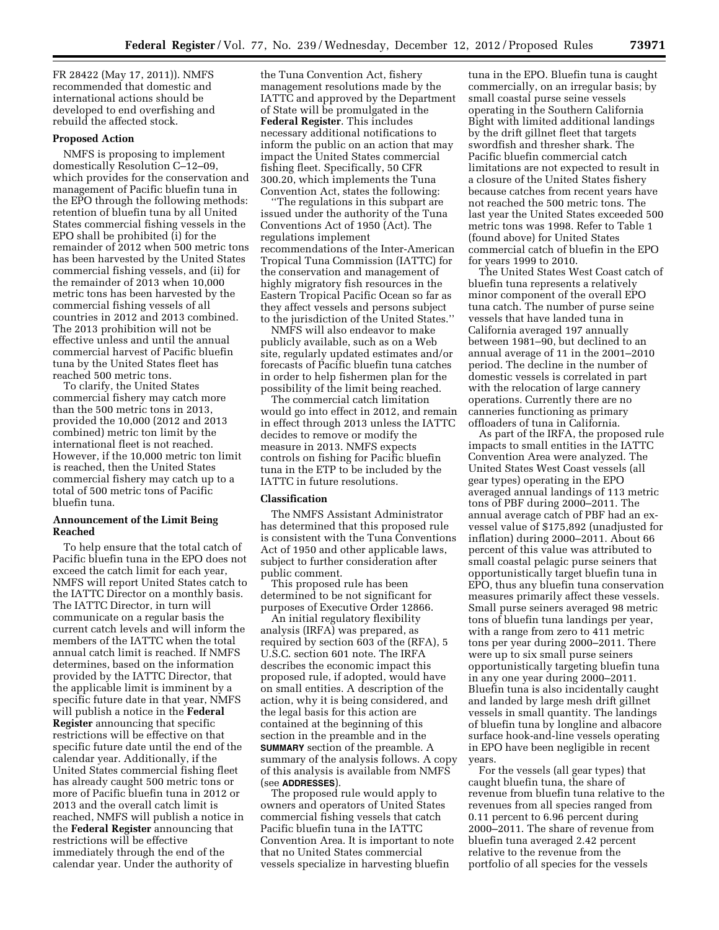FR 28422 (May 17, 2011)). NMFS recommended that domestic and international actions should be developed to end overfishing and rebuild the affected stock.

## **Proposed Action**

NMFS is proposing to implement domestically Resolution C–12–09, which provides for the conservation and management of Pacific bluefin tuna in the EPO through the following methods: retention of bluefin tuna by all United States commercial fishing vessels in the EPO shall be prohibited (i) for the remainder of 2012 when 500 metric tons has been harvested by the United States commercial fishing vessels, and (ii) for the remainder of 2013 when 10,000 metric tons has been harvested by the commercial fishing vessels of all countries in 2012 and 2013 combined. The 2013 prohibition will not be effective unless and until the annual commercial harvest of Pacific bluefin tuna by the United States fleet has reached 500 metric tons.

To clarify, the United States commercial fishery may catch more than the 500 metric tons in 2013, provided the 10,000 (2012 and 2013 combined) metric ton limit by the international fleet is not reached. However, if the 10,000 metric ton limit is reached, then the United States commercial fishery may catch up to a total of 500 metric tons of Pacific bluefin tuna.

## **Announcement of the Limit Being Reached**

To help ensure that the total catch of Pacific bluefin tuna in the EPO does not exceed the catch limit for each year, NMFS will report United States catch to the IATTC Director on a monthly basis. The IATTC Director, in turn will communicate on a regular basis the current catch levels and will inform the members of the IATTC when the total annual catch limit is reached. If NMFS determines, based on the information provided by the IATTC Director, that the applicable limit is imminent by a specific future date in that year, NMFS will publish a notice in the **Federal Register** announcing that specific restrictions will be effective on that specific future date until the end of the calendar year. Additionally, if the United States commercial fishing fleet has already caught 500 metric tons or more of Pacific bluefin tuna in 2012 or 2013 and the overall catch limit is reached, NMFS will publish a notice in the **Federal Register** announcing that restrictions will be effective immediately through the end of the calendar year. Under the authority of

the Tuna Convention Act, fishery management resolutions made by the IATTC and approved by the Department of State will be promulgated in the **Federal Register**. This includes necessary additional notifications to inform the public on an action that may impact the United States commercial fishing fleet. Specifically, 50 CFR 300.20, which implements the Tuna Convention Act, states the following:

''The regulations in this subpart are issued under the authority of the Tuna Conventions Act of 1950 (Act). The regulations implement recommendations of the Inter-American Tropical Tuna Commission (IATTC) for the conservation and management of highly migratory fish resources in the Eastern Tropical Pacific Ocean so far as they affect vessels and persons subject to the jurisdiction of the United States.''

NMFS will also endeavor to make publicly available, such as on a Web site, regularly updated estimates and/or forecasts of Pacific bluefin tuna catches in order to help fishermen plan for the possibility of the limit being reached.

The commercial catch limitation would go into effect in 2012, and remain in effect through 2013 unless the IATTC decides to remove or modify the measure in 2013. NMFS expects controls on fishing for Pacific bluefin tuna in the ETP to be included by the IATTC in future resolutions.

### **Classification**

The NMFS Assistant Administrator has determined that this proposed rule is consistent with the Tuna Conventions Act of 1950 and other applicable laws, subject to further consideration after public comment.

This proposed rule has been determined to be not significant for purposes of Executive Order 12866.

An initial regulatory flexibility analysis (IRFA) was prepared, as required by section 603 of the (RFA), 5 U.S.C. section 601 note. The IRFA describes the economic impact this proposed rule, if adopted, would have on small entities. A description of the action, why it is being considered, and the legal basis for this action are contained at the beginning of this section in the preamble and in the **SUMMARY** section of the preamble. A summary of the analysis follows. A copy of this analysis is available from NMFS (see **ADDRESSES**).

The proposed rule would apply to owners and operators of United States commercial fishing vessels that catch Pacific bluefin tuna in the IATTC Convention Area. It is important to note that no United States commercial vessels specialize in harvesting bluefin

tuna in the EPO. Bluefin tuna is caught commercially, on an irregular basis; by small coastal purse seine vessels operating in the Southern California Bight with limited additional landings by the drift gillnet fleet that targets swordfish and thresher shark. The Pacific bluefin commercial catch limitations are not expected to result in a closure of the United States fishery because catches from recent years have not reached the 500 metric tons. The last year the United States exceeded 500 metric tons was 1998. Refer to Table 1 (found above) for United States commercial catch of bluefin in the EPO for years 1999 to 2010.

The United States West Coast catch of bluefin tuna represents a relatively minor component of the overall EPO tuna catch. The number of purse seine vessels that have landed tuna in California averaged 197 annually between 1981–90, but declined to an annual average of 11 in the 2001–2010 period. The decline in the number of domestic vessels is correlated in part with the relocation of large cannery operations. Currently there are no canneries functioning as primary offloaders of tuna in California.

As part of the IRFA, the proposed rule impacts to small entities in the IATTC Convention Area were analyzed. The United States West Coast vessels (all gear types) operating in the EPO averaged annual landings of 113 metric tons of PBF during 2000–2011. The annual average catch of PBF had an exvessel value of \$175,892 (unadjusted for inflation) during 2000–2011. About 66 percent of this value was attributed to small coastal pelagic purse seiners that opportunistically target bluefin tuna in EPO, thus any bluefin tuna conservation measures primarily affect these vessels. Small purse seiners averaged 98 metric tons of bluefin tuna landings per year, with a range from zero to 411 metric tons per year during 2000–2011. There were up to six small purse seiners opportunistically targeting bluefin tuna in any one year during 2000–2011. Bluefin tuna is also incidentally caught and landed by large mesh drift gillnet vessels in small quantity. The landings of bluefin tuna by longline and albacore surface hook-and-line vessels operating in EPO have been negligible in recent years.

For the vessels (all gear types) that caught bluefin tuna, the share of revenue from bluefin tuna relative to the revenues from all species ranged from 0.11 percent to 6.96 percent during 2000–2011. The share of revenue from bluefin tuna averaged 2.42 percent relative to the revenue from the portfolio of all species for the vessels